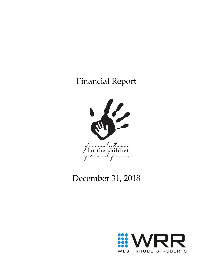# Financial Report



# December 31, 2018

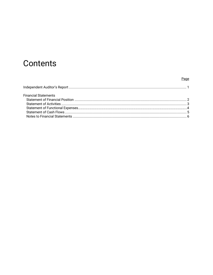# Contents

## Page

| <b>Financial Statements</b> |  |
|-----------------------------|--|
|                             |  |
|                             |  |
|                             |  |
|                             |  |
|                             |  |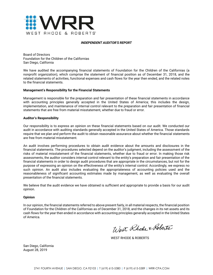

#### *INDEPENDENT AUDITOR'S REPORT*

Board of Directors Foundation for the Children of the Californias San Diego, California

We have audited the accompanying financial statements of Foundation for the Children of the Californias (a nonprofit organization), which comprise the statement of financial position as of December 31, 2018, and the related statements of activities, functional expenses and cash flows for the year then ended, and the related notes to the financial statements.

#### **Management's Responsibility for the Financial Statements**

Management is responsible for the preparation and fair presentation of these financial statements in accordance with accounting principles generally accepted in the United States of America; this includes the design, implementation, and maintenance of internal control relevant to the preparation and fair presentation of financial statements that are free from material misstatement, whether due to fraud or error.

#### **Auditor's Responsibility**

Our responsibility is to express an opinion on these financial statements based on our audit. We conducted our audit in accordance with auditing standards generally accepted in the United States of America. Those standards require that we plan and perform the audit to obtain reasonable assurance about whether the financial statements are free from material misstatement.

An audit involves performing procedures to obtain audit evidence about the amounts and disclosures in the financial statements. The procedures selected depend on the auditor's judgment, including the assessment of the risks of material misstatement of the financial statements, whether due to fraud or error. In making those risk assessments, the auditor considers internal control relevant to the entity's preparation and fair presentation of the financial statements in order to design audit procedures that are appropriate in the circumstances, but not for the purpose of expressing an opinion on the effectiveness of the entity's internal control. Accordingly, we express no such opinion. An audit also includes evaluating the appropriateness of accounting policies used and the reasonableness of significant accounting estimates made by management, as well as evaluating the overall presentation of the financial statements.

We believe that the audit evidence we have obtained is sufficient and appropriate to provide a basis for our audit opinion.

#### **Opinion**

In our opinion, the financial statements referred to above present fairly, in all material respects, the financial position of Foundation for the Children of the Californias as of December 31, 2018, and the changes in its net assets and its cash flows for the year then ended in accordance with accounting principles generally accepted in the United States of America.

West Rhode & Roberts

WEST RHODE & ROBERTS

San Diego, California August 28, 2019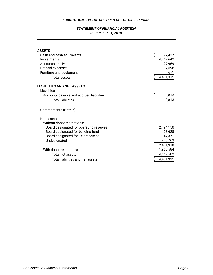#### *STATEMENT OF FINANCIAL POSITION DECEMBER 31, 2018*

| <b>ASSETS</b>                            |                 |
|------------------------------------------|-----------------|
| Cash and cash equivalents                | \$<br>172,437   |
| Investments                              | 4,242,642       |
| Accounts receivable                      | 27,969          |
| Prepaid expenses                         | 7,596           |
| Furniture and equipment                  | 671             |
| <b>Total assets</b>                      | Ś.<br>4,451,315 |
| <b>LIABILITIES AND NET ASSETS</b>        |                 |
| Liabilities:                             |                 |
| Accounts payable and accrued liabilities | \$<br>8,813     |
| <b>Total liabilities</b>                 | 8,813           |
| Commitments (Note 6)                     |                 |
| Net assets:                              |                 |
| Without donor restrictions:              |                 |
| Board designated for operating reserves  | 2,194,150       |
| Board designated for building fund       | 23,628          |
| Board designated for Telemedicine        | 47,371          |
| Undesignated                             | 216,769         |
|                                          | 2,481,918       |
| With donor restrictions                  | 1,960,584       |
| Total net assets                         | 4,442,502       |
| Total liabilities and net assets         | \$<br>4,451,315 |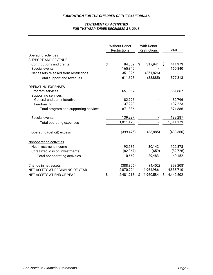## *STATEMENT OF ACTIVITIES FOR THE YEAR ENDED DECEMBER 31, 2018*

|                                       | <b>Without Donor</b><br>Restrictions |     | <b>With Donor</b><br>Restrictions |   | Total      |
|---------------------------------------|--------------------------------------|-----|-----------------------------------|---|------------|
| Operating activities                  |                                      |     |                                   |   |            |
| SUPPORT AND REVENUE                   |                                      |     |                                   |   |            |
| Contributions and grants              | \$<br>94,032                         | S.  | 317,941                           | Ŝ | 411,973    |
| Special events                        | 165,840                              |     |                                   |   | 165,840    |
| Net assets released from restrictions | 351,826                              |     | (351,826)                         |   |            |
| Total support and revenues            | 611,698                              |     | (33, 885)                         |   | 577,813    |
| <b>OPERATING EXPENSES</b>             |                                      |     |                                   |   |            |
| Program services                      | 651,867                              |     |                                   |   | 651,867    |
| Supporting services:                  |                                      |     |                                   |   |            |
| General and administrative            | 82,796                               |     |                                   |   | 82,796     |
| Fundraising                           | 137,223                              |     |                                   |   | 137,223    |
| Total program and supporting services | 871,886                              |     |                                   |   | 871,886    |
| Special events                        | 139,287                              |     |                                   |   | 139,287    |
| <b>Total operating expenses</b>       | 1,011,173                            |     |                                   |   | 1,011,173  |
| Operating (deficit) excess            | (399, 475)                           |     | (33, 885)                         |   | (433,360)  |
| Nonoperating activities               |                                      |     |                                   |   |            |
| Net investment income                 | 92,736                               |     | 30,142                            |   | 122,878    |
| Unrealized loss on investments        | (82,067)                             |     | (659)                             |   | (82, 726)  |
| Total nonoperating activities         | 10,669                               |     | 29,483                            |   | 40,152     |
| Change in net assets                  | (388, 806)                           |     | (4, 402)                          |   | (393, 208) |
| NET ASSETS AT BEGINNING OF YEAR       | 2,870,724                            |     | 1,964,986                         |   | 4,835,710  |
| NET ASSETS AT END OF YEAR             | \$<br>2,481,918                      | \$. | 1,960,584                         | Ŝ | 4,442,502  |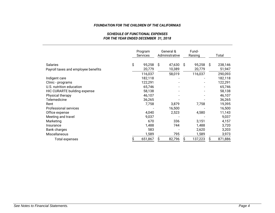## *FOR THE YEAR ENDED DECEMBER 31, 2018 SCHEDULE OF FUNCTIONAL EXPENSES*

|                                     | Program<br><b>Services</b> |   | General &<br>Administrative |    | Fund-<br>Raising |    | Total   |
|-------------------------------------|----------------------------|---|-----------------------------|----|------------------|----|---------|
| <b>Salaries</b>                     | \$<br>95,258               | S | 47,630                      | Ŝ. | 95,258           | Ŝ. | 238,146 |
| Payroll taxes and employee benefits | 20,779                     |   | 10,389                      |    | 20,779           |    | 51,947  |
|                                     | 116,037                    |   | 58,019                      |    | 116,037          |    | 290,093 |
| Indigent care                       | 182,118                    |   |                             |    |                  |    | 182,118 |
| Clinic - programs                   | 122,291                    |   |                             |    |                  |    | 122,291 |
| U.S. nutrition education            | 65,746                     |   |                             |    |                  |    | 65,746  |
| <b>HIC CURARTE building expense</b> | 58,138                     |   |                             |    |                  |    | 58,138  |
| Physical therapy                    | 46,107                     |   |                             |    |                  |    | 46,107  |
| Telemedicine                        | 36,265                     |   |                             |    |                  |    | 36,265  |
| Rent                                | 7,758                      |   | 3,879                       |    | 7,758            |    | 19,395  |
| Professional services               |                            |   | 16,500                      |    |                  |    | 16,500  |
| Office expense                      | 4,040                      |   | 2,523                       |    | 4,580            |    | 11,143  |
| Meeting and travel                  | 9,037                      |   |                             |    |                  |    | 9,037   |
| Marketing                           | 670                        |   | 336                         |    | 3,151            |    | 4,157   |
| Insurance                           | 1,488                      |   | 744                         |    | 1,488            |    | 3,720   |
| <b>Bank charges</b>                 | 583                        |   |                             |    | 2,620            |    | 3,203   |
| Miscellaneous                       | 1,589                      |   | 795                         |    | 1,589            |    | 3,973   |
| Total expenses                      | 651,867                    | S | 82,796                      | S  | 137,223          | S  | 871,886 |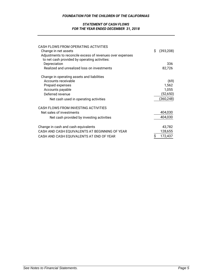## *STATEMENT OF CASH FLOWS FOR THE YEAR ENDED DECEMBER 31, 2018*

| CASH FLOWS FROM OPERATING ACTIVITIES<br>Change in net assets<br>Adjustments to reconcile excess of revenues over expenses<br>to net cash provided by operating activities: | \$<br>(393,208) |
|----------------------------------------------------------------------------------------------------------------------------------------------------------------------------|-----------------|
| Depreciation                                                                                                                                                               | 336             |
| Realized and unrealized loss on investments                                                                                                                                | 82,726          |
| Change in operating assets and liabilities                                                                                                                                 |                 |
| Accounts receivable                                                                                                                                                        | (69)            |
| Prepaid expenses                                                                                                                                                           | 1,562           |
| Accounts payable                                                                                                                                                           | 1,055           |
| Deferred revenue                                                                                                                                                           | (52,650)        |
| Net cash used in operating activities                                                                                                                                      | (360,248)       |
| CASH FLOWS FROM INVESTING ACTIVITIES                                                                                                                                       |                 |
| Net sales of investments                                                                                                                                                   | 404,030         |
| Net cash provided by investing activities                                                                                                                                  | 404,030         |
| Change in cash and cash equivalents                                                                                                                                        | 43,782          |
| CASH AND CASH EQUIVALENTS AT BEGINNING OF YEAR                                                                                                                             | 128,655         |
| CASH AND CASH EQUIVALENTS AT END OF YEAR                                                                                                                                   | \$<br>172,437   |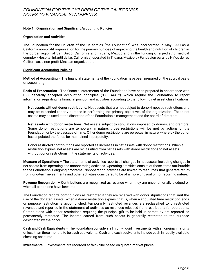#### **Note 1. Organization and Significant Accounting Policies**

#### **Organization and Activities**

The Foundation for the Children of the Californias (the Foundation) was incorporated in May 1990 as a California non-profit organization for the primary purpose of improving the health and nutrition of children in the border region of San Diego, California and Tijuana, Mexico and in the funding of a pediatric medical complex (Hospital Infantil de las Californias) operated in Tijuana, Mexico by Fundación para los Niños de las Californias, a non-profit Mexican organization.

#### **Significant Accounting Policies**

**Method of Accounting** – The financial statements of the Foundation have been prepared on the accrual basis of accounting.

**Basis of Presentation** –The financial statements of the Foundation have been prepared in accordance with U.S. generally accepted accounting principles ("US GAAP"), which require the Foundation to report information regarding its financial position and activities according to the following net asset classifications:

**Net assets without donor restrictions:** Net assets that are not subject to donor-imposed restrictions and may be expended for any purpose in performing the primary objectives of the organization. These net assets may be used at the discretion of the Foundation's management and the board of directors.

**Net assets with donor restrictions**: Net assets subject to stipulations imposed by donors, and grantors. Some donor restrictions are temporary in nature; those restrictions will be met by actions of the Foundation or by the passage of time. Other donor restrictions are perpetual in nature, where by the donor has stipulated the funds be maintained in perpetuity.

Donor restricted contributions are reported as increases in net assets with donor restrictions. When a restriction expires, net assets are reclassified from net assets with donor restrictions to net assets without donor restrictions in the statements of activities.

**Measure of Operations** – The statements of activities reports all changes in net assets, including changes in net assets from operating and nonoperating activities. Operating activities consist of those items attributable to the Foundation's ongoing programs. Nonoperating activities are limited to resources that generate return from long-term investments and other activities considered to be of a more unusual or nonrecurring nature.

**Revenue Recognition** – Contributions are recognized as revenue when they are unconditionally pledged or when all conditions have been met.

The Foundation reports contributions as restricted if they are received with donor stipulations that limit the use of the donated assets. When a donor restriction expires, that is, when a stipulated time restriction ends or purpose restriction is accomplished, temporarily restricted revenues are reclassified to unrestricted revenues and reported in the statement of activities as revenues released from restrictions for operations. Contributions with donor restrictions requiring the principal gift to be held in perpetuity are reported as permanently restricted. The income earned from such assets is generally restricted to the purpose designated by the donor.

**Cash and Cash Equivalents** – The Foundation considers all highly liquid investments with an original maturity of less than three months to be cash equivalents. Cash and cash equivalents include cash in readily available checking accounts.

**Investments** *–* Investments are recorded at fair value based on quoted market prices.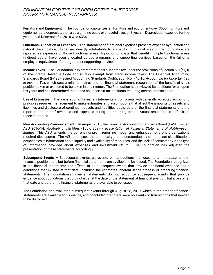**Furniture and Equipment** – The Foundation capitalizes all furniture and equipment over \$500. Furniture and equipment are depreciated on a straight-line basis over useful lives of 3 years. Depreciation expense for the year ended December 31, 2018 was \$336.

**Functional Allocation of Expenses** – The statement of functional expenses presents expense by function and natural classification. Expenses directly attributable to a specific functional area of the Foundation are reported as expenses of those functional areas. A portion of costs that benefit multiple functional areas (indirect costs) have been allocated across programs and supporting services based on the full-time employee equivalents of a programs or supporting service

**Income Taxes** – The Foundation is exempt from federal income tax under the provisions of Section 501(c)(3) of the Internal Revenue Code and is also exempt from state income taxes. The Financial Accounting Standards Board (FASB) issued Accounting Standards Codification No. 740-10, *Accounting for Uncertainties in Income Tax*, which sets a minimum threshold for financial statement recognition of the benefit of a tax position taken or expected to be taken in a tax return. The Foundation has reviewed its positions for all open tax years and has determined that it has no uncertain tax positions requiring accrual or disclosure.

**Use of Estimates** – The preparation of financial statements in conformity with generally accepted accounting principles requires management to make estimates and assumptions that affect the amounts of assets and liabilities and disclosure of contingent assets and liabilities at the date of the financial statements and the reported amounts of revenues and expenses during the reporting period. Actual results could differ from those estimates.

**New Accounting Pronouncement** – In August 2016, the Financial Accounting Standards Board (FASB) issued ASU 2016-14, Not-for-Profit Entities (Topic 958) – *Presentation of Financial Statements of Not-for-Profit Entities*. This ASU amends the current nonprofit reporting model and enhances nonprofit organizations required disclosures. The ASU addresses the complexity and understandability of net asset classification, deficiencies in information about liquidity and availability of resources, and the lack of consistency in the type of information provided about expenses and investment return. The Foundation has adjusted the presentation of these statements accordingly.

**Subsequent Events** – Subsequent events are events or transactions that occur after the statement of financial position date but before financial statements are available to be issued. The Foundation recognizes in the financial statements, the effects of all subsequent events that provide additional evidence about conditions that existed at that date, including the estimates inherent in the process of preparing financial statements. The Foundation's financial statements do not recognize subsequent events that provide evidence about conditions that did not exist at the date of the statement of financial position, but arose after that date and before the financial statements are available to be issued.

The Foundation has evaluated subsequent events through August 28, 2019, which is the date the financial statements are available for issuance, and concluded that there were no events or transactions that needed to be disclosed.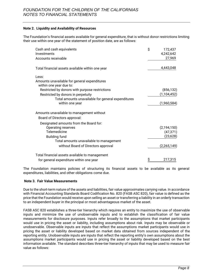#### **Note 2. Liquidity and Availability of Resources**

The Foundation's financial assets available for general expenditure, that is without donor restrictions limiting their use within one year of the statement of position date, are as follows:

| Cash and cash equivalents<br>Investments                                | \$<br>172,437<br>4,242,642 |
|-------------------------------------------------------------------------|----------------------------|
| Accounts receivable                                                     | 27,969                     |
| Total financial assets available within one year                        | 4,443,048                  |
| Less:                                                                   |                            |
| Amounts unavailable for general expenditures<br>within one year due to: |                            |
| Restricted by donors with purpose restrictions                          | (856, 132)                 |
| Restricted by donors in perpetuity                                      | (1, 104, 452)              |
| Total amounts unavailable for general expenditures                      |                            |
| within one year                                                         | (1,960,584)                |
| Amounts unavailable to management without                               |                            |
| Board of Directors approval:                                            |                            |
| Designated amounts from the Board for:                                  |                            |
| Operating reserves                                                      | (2, 194, 150)              |
| Telemedicine                                                            | (47, 371)                  |
| <b>Building fund</b>                                                    | (23, 628)                  |
| Total amounts unavailable to management                                 |                            |
| without Board of Directors approval                                     | (2, 265, 149)              |
| Total financial assets available to management                          |                            |
| for general expenditure within one year                                 | \$<br>217,315              |

The Foundation maintains policies of structuring its financial assets to be available as its general expenditures, liabilities, and other obligations come due.

#### **Note 3. Fair Value Measurements**

Due to the short-term nature of the assets and liabilities, fair value approximates carrying value. In accordance with Financial Accounting Standards Board Codification No. 820 (FASB ASC 820), fair value is defined as the price that the Foundation would receive upon selling an asset or transferring a liability in an orderly transaction to an independent buyer in the principal or most advantageous market of the asset.

FASB ASC 820 establishes a three-tier hierarchy which requires an entity to maximize the use of observable inputs and minimize the use of unobservable inputs and to establish the classification of fair value measurements for disclosure purposes. Inputs refer broadly to the assumptions that market participants would use in pricing the asset or liability, including assumptions about risk. Inputs may be observable or unobservable. Observable inputs are inputs that reflect the assumptions market participants would use in pricing the asset or liability developed based on market data obtained from sources independent of the reporting entity. Unobservable inputs are inputs that reflect the reporting entity's own assumptions about the assumptions market participants would use in pricing the asset or liability developed based on the best information available. The standard describes three-tier hierarchy of inputs that may be used to measure fair value as follows: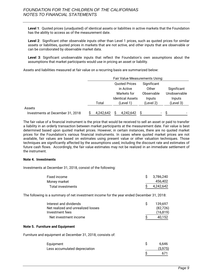**Level 1**: Quoted prices (unadjusted) of identical assets or liabilities in active markets that the Foundation has the ability to access as of the measurement date.

**Level 2**: Significant other observable inputs other than Level 1 prices, such as quoted prices for similar assets or liabilities, quoted prices in markets that are not active, and other inputs that are observable or can be corroborated by observable market data.

**Level 3**: Significant unobservable inputs that reflect the Foundation's own assumptions about the assumptions that market participants would use in pricing an asset or liability.

Assets and liabilities measured at fair value on a recurring basis are summarized below:

|                                  | Fair Value Measurements Using: |           |  |                         |  |                          |    |                          |
|----------------------------------|--------------------------------|-----------|--|-------------------------|--|--------------------------|----|--------------------------|
|                                  |                                |           |  | <b>Quoted Prices</b>    |  | Significant              |    |                          |
|                                  |                                |           |  | in Active               |  | Other                    |    | Significant              |
|                                  |                                |           |  | Markets for             |  | Observable               |    | Unobservable             |
|                                  |                                |           |  | <b>Identical Assets</b> |  | Inputs                   |    | Inputs                   |
|                                  |                                | Total     |  | (Level 1)               |  | (Level 2)                |    | (Level 3)                |
| Assets                           |                                |           |  |                         |  |                          |    |                          |
| Investments at December 31, 2018 |                                | 4,242,642 |  | 4,242,642               |  | $\overline{\phantom{0}}$ | S. | $\overline{\phantom{0}}$ |

The fair value of a financial instrument is the price that would be received to sell an asset or paid to transfer a liability in an orderly transaction between market participants at the measurement date. Fair value is best determined based upon quoted market prices. However, in certain instances, there are no quoted market prices for the Foundation's various financial instruments. In cases where quoted market prices are not available, fair values are based on estimates using present value or other valuation techniques. Those techniques are significantly affected by the assumptions used, including the discount rate and estimates of future cash flows. Accordingly, the fair value estimates may not be realized in an immediate settlement of the instrument.

#### **Note 4. Investments**

Investments at December 31, 2018, consist of the following:

| Fixed income      | \$3,786,240 |
|-------------------|-------------|
| Money market      | 456.402     |
| Total investments | 4,242,642   |

The following is a summary of net investment income for the year ended December 31, 2018:

| Interest and dividends             | 139.697   |
|------------------------------------|-----------|
| Net realized and unrealized losses | (82, 726) |
| Investment fees                    | (16, 819) |
| Net investment income              | 40.152    |

#### **Note 5. Furniture and Equipment**

Furniture and equipment at December 31, 2018, consists of:

| Equipment                     | 6.646    |
|-------------------------------|----------|
| Less accumulated depreciation | (5, 975) |
|                               | 671      |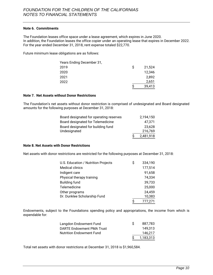#### **Note 6. Commitments**

The Foundation leases office space under a lease agreement, which expires in June 2020. In addition, the Foundation leases the office copier under an operating lease that expires in December 2022. For the year ended December 31, 2018, rent expense totaled \$22,770.

Future minimum lease obligations are as follows:

| Years Ending December 31, |   |        |
|---------------------------|---|--------|
| 2019                      | S | 21,524 |
| 2020                      |   | 12,346 |
| 2021                      |   | 2,892  |
| 2022                      |   | 2,651  |
|                           | S | 39,413 |

#### **Note 7. Net Assets without Donor Restrictions**

The Foundation's net assets without donor restriction is comprised of undesignated and Board designated amounts for the following purposes at December 31, 2018:

| Board designated for operating reserves | 2.194.150 |
|-----------------------------------------|-----------|
| Board designated for Telemedicine       | 47.371    |
| Board designated for building fund      | 23.628    |
| Undesignated                            | 216,769   |
|                                         | 2,481,918 |

#### **Note 8. Net Assets with Donor Restrictions**

Net assets with donor restrictions are restricted for the following purposes at December 31, 2018:

| U.S. Education / Nutrition Projects | \$ | 334,190 |
|-------------------------------------|----|---------|
| <b>Medical clinics</b>              |    | 177,514 |
| Indigent care                       |    | 91,658  |
| Physical therapy training           |    | 74,334  |
| <b>Building fund</b>                |    | 39,733  |
| Telemedicine                        |    | 25,000  |
| Other programs                      |    | 24,459  |
| Dr. Dunklee Scholarship Fund        |    | 10,383  |
|                                     | Ś  | 777,271 |

Endowments, subject to the Foundations spending policy and appropriations, the income from which is expendable for:

| Langdon Endowment Fund          | S. | 887.783      |
|---------------------------------|----|--------------|
| DARTE Endowment PMA Trust       |    | 149.313      |
| <b>Nutrition Endowment Fund</b> |    | 146,217      |
|                                 |    | \$ 1,183,313 |

Total net assets with donor restrictions at December 31, 2018 is \$1,960,584.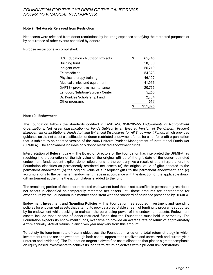#### **Note 9. Net Assets Released from Restriction**

Net assets were released from donor restrictions by incurring expenses satisfying the restricted purposes or by occurrence of other events specified by donors.

Purpose restrictions accomplished:

| U.S. Education / Nutrition Projects | S | 65,746  |
|-------------------------------------|---|---------|
| <b>Building fund</b>                |   | 58,138  |
| Indigent care                       |   | 56,219  |
| Telemedicine                        |   | 54,328  |
| Physical therapy training           |   | 46,107  |
| Medical clinics and equipment       |   | 41,916  |
| DARTE - preventive maintenance      |   | 20,756  |
| Langdon/Nutrition/Surgery Center    |   | 5,265   |
| Dr. Dunklee Scholarship Fund        |   | 2,734   |
| Other programs                      |   | 617     |
|                                     | Ś | 351.826 |

#### **Note 10. Endowment**

The Foundation follows the standards codified in FASB ASC 958-205-65, *Endowments of Not-for-Profit Organizations: Net Asset Classification of Funds Subject to an Enacted Version of the Uniform Prudent Management of Institutional Funds Act, and Enhanced Disclosures for All Endowment Funds*, which provides guidance on the net asset classification of donor-restricted endowment funds for a not-for-profit organization that is subject to an enacted version of the 2006 Uniform Prudent Management of Institutional Funds Act (UPMIFA). The endowment includes only donor-restricted endowment funds.

**Interpretation of Relevant Law** – The Board of Directors of the Foundation has interpreted the UPMIFA as requiring the preservation of the fair value of the original gift as of the gift date of the donor-restricted endowment funds absent explicit donor stipulations to the contrary. As a result of this interpretation, the Foundation classifies as permanently restricted net assets (a) the original value of gifts donated to the permanent endowment, (b) the original value of subsequent gifts to the permanent endowment, and (c) accumulations to the permanent endowment made in accordance with the direction of the applicable donor gift instrument at the time the accumulation is added to the fund.

The remaining portion of the donor-restricted endowment fund that is not classified in permanently restricted net assets is classified as temporarily restricted net assets until those amounts are appropriated for expenditure by the Foundation in a manner consistent with the standard of prudence prescribed by UPMIFA.

**Endowment Investment and Spending Policies** – The Foundation has adopted investment and spending policies for endowment assets that attempt to provide a predictable stream of funding to programs supported by its endowment while seeking to maintain the purchasing power of the endowment assets. Endowment assets include those assets of donor-restricted funds that the Foundation must hold in perpetuity. The Foundation expects its endowment funds, over time, to provide an average rate of return of approximately 4.25% annually. Actual returns in any given year may vary from this amount.

To satisfy its long-term rate-of-return objectives, the Foundation relies on a total return strategy in which investment returns are achieved through both capital appreciation (realized and unrealized) and current yield (interest and dividends). The Foundation targets a diversified asset allocation that places a greater emphasis on equity-based investments to achieve its long-term return objectives within prudent risk constraints.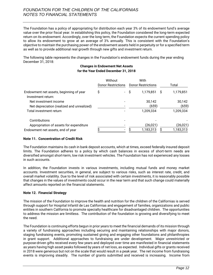The Foundation has a policy of appropriating for distribution each year 3% of its endowment fund's average value over the prior fiscal year. In establishing this policy, the Foundation considered the long-term expected return on its endowment. Accordingly, over the long term, the Foundation expects the current spending policy to allow its endowment to grow at an average of 3% annually. This is consistent with the Foundation's objective to maintain the purchasing power of the endowment assets held in perpetuity or for a specified term as well as to provide additional real growth through new gifts and investment return.

The following table represents the changes in the Foundation's endowment funds during the year ending December 31, 2018:

#### **Changes in Endowment Net Assets for the Year Ended December 31, 2018**

|                                                                                                                                                                                                                                                                                                                                                                                                                                                                                                                                                                                                                                                                                                                                                                                                                                                                                                         | Without<br><b>Donor Restrictions</b> | With<br><b>Donor Restrictions</b> |           | Total           |
|---------------------------------------------------------------------------------------------------------------------------------------------------------------------------------------------------------------------------------------------------------------------------------------------------------------------------------------------------------------------------------------------------------------------------------------------------------------------------------------------------------------------------------------------------------------------------------------------------------------------------------------------------------------------------------------------------------------------------------------------------------------------------------------------------------------------------------------------------------------------------------------------------------|--------------------------------------|-----------------------------------|-----------|-----------------|
| Endowment net assets, beginning of year                                                                                                                                                                                                                                                                                                                                                                                                                                                                                                                                                                                                                                                                                                                                                                                                                                                                 | \$                                   | \$                                | 1,179,851 | \$<br>1,179,851 |
| Investment return:                                                                                                                                                                                                                                                                                                                                                                                                                                                                                                                                                                                                                                                                                                                                                                                                                                                                                      |                                      |                                   |           |                 |
| Net investment income                                                                                                                                                                                                                                                                                                                                                                                                                                                                                                                                                                                                                                                                                                                                                                                                                                                                                   |                                      |                                   | 30,142    | 30,142          |
| Net depreciation (realized and unrealized)                                                                                                                                                                                                                                                                                                                                                                                                                                                                                                                                                                                                                                                                                                                                                                                                                                                              |                                      |                                   | (659)     | (659)           |
| Total investment return                                                                                                                                                                                                                                                                                                                                                                                                                                                                                                                                                                                                                                                                                                                                                                                                                                                                                 |                                      |                                   | 1,209,334 | 1,209,334       |
| Contributions                                                                                                                                                                                                                                                                                                                                                                                                                                                                                                                                                                                                                                                                                                                                                                                                                                                                                           |                                      |                                   |           |                 |
| Appropriation of assets for expenditure                                                                                                                                                                                                                                                                                                                                                                                                                                                                                                                                                                                                                                                                                                                                                                                                                                                                 |                                      |                                   | (26, 021) | (26, 021)       |
| Endowment net assets, end of year                                                                                                                                                                                                                                                                                                                                                                                                                                                                                                                                                                                                                                                                                                                                                                                                                                                                       | \$                                   | \$                                | 1,183,313 | \$<br>1,183,313 |
| <b>Note 11. Concentration of Credit Risk</b>                                                                                                                                                                                                                                                                                                                                                                                                                                                                                                                                                                                                                                                                                                                                                                                                                                                            |                                      |                                   |           |                 |
| The Foundation maintains its cash in bank deposit accounts, which at times, exceed federally insured deposit<br>limits. The Foundation adheres to a policy by which cash balances in excess of short-term needs are<br>diversified amongst short-term, low risk investment vehicles. The Foundation has not experienced any losses<br>in such accounts.                                                                                                                                                                                                                                                                                                                                                                                                                                                                                                                                                 |                                      |                                   |           |                 |
| In addition, the Foundation invests in various investments, including mutual funds and money market<br>accounts. Investment securities, in general, are subject to various risks, such as interest rate, credit, and<br>overall market volatility. Due to the level of risk associated with certain investments, it is reasonably possible<br>that changes in the values of investments could occur in the near term and that such change could materially<br>affect amounts reported on the financial statements.                                                                                                                                                                                                                                                                                                                                                                                      |                                      |                                   |           |                 |
| <b>Note 12. Financial Strategy</b>                                                                                                                                                                                                                                                                                                                                                                                                                                                                                                                                                                                                                                                                                                                                                                                                                                                                      |                                      |                                   |           |                 |
| The mission of the Foundation to improve the health and nutrition for the children of the Californias is served<br>through support for Hospital Infantil de Las Californias and engagement of families, organizations and public<br>entities in southern California to promote specialty healthcare for disadvantaged children. The opportunities<br>to address the mission are limitless. The contribution of the foundation is growing and diversifying to meet<br>the need.                                                                                                                                                                                                                                                                                                                                                                                                                          |                                      |                                   |           |                 |
| The Foundation is continuing efforts begun in prior years to meet the financial demands of its mission through<br>a variety of fundraising approaches including securing and maintaining relationships with major donors,<br>staging fundraising events, promoting sustained giving and engaging other foundations and philanthropies<br>in grant support. Additional approaches to fundraising are under development. Major unrestricted or<br>purpose-driven gifts received every few years and deployed over time are manifested in financial statements<br>as years having high asset peaks followed by years of net loss, as expected. Individual gifts or grants received<br>in 2018 were generous but not on the scale that would result in a peak year. The net income from fundraising<br>events is improving steadily. The number of grants submitted and received is increasing. Income from |                                      |                                   |           |                 |

## **Note 11. Concentration of Credit Risk**

## **Note 12. Financial Strategy**